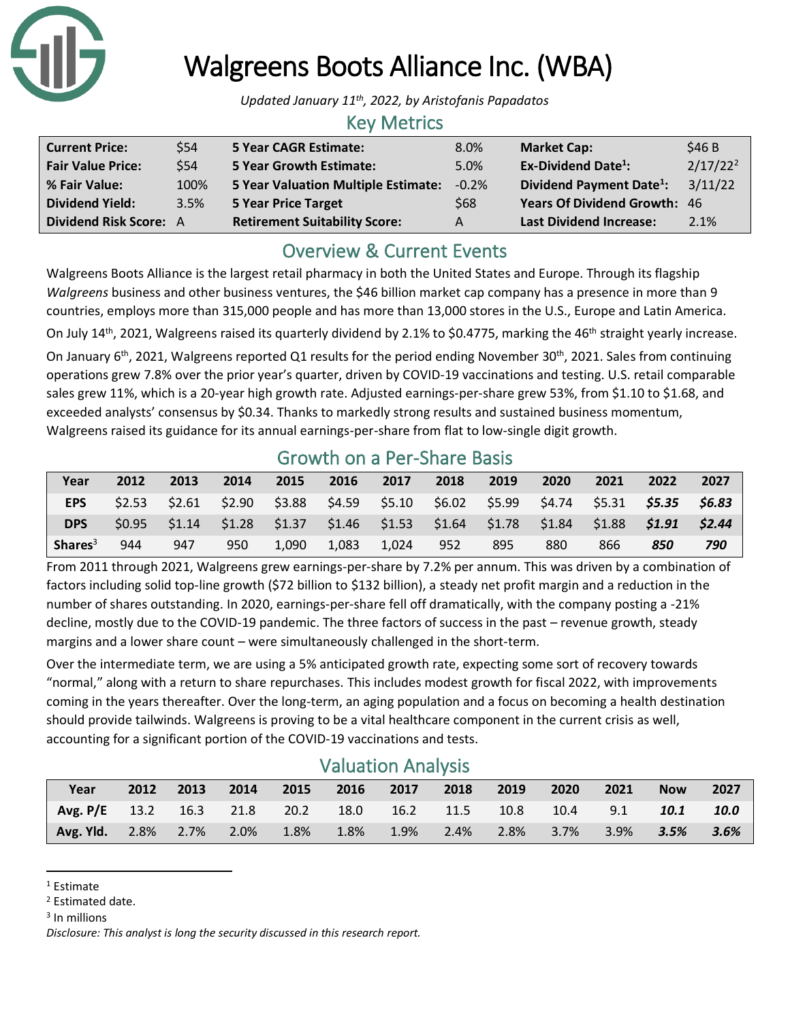

# Walgreens Boots Alliance Inc. (WBA)

*Updated January 11th, 2022, by Aristofanis Papadatos*

## Key Metrics

| <b>Current Price:</b>         | \$54 | <b>5 Year CAGR Estimate:</b>         | 8.0%           | <b>Market Cap:</b>                   | \$46 B               |
|-------------------------------|------|--------------------------------------|----------------|--------------------------------------|----------------------|
| <b>Fair Value Price:</b>      | \$54 | <b>5 Year Growth Estimate:</b>       | 5.0%           | <b>Ex-Dividend Date<sup>1</sup>:</b> | 2/17/22 <sup>2</sup> |
| % Fair Value:                 | 100% | 5 Year Valuation Multiple Estimate:  | $-0.2\%$       | Dividend Payment Date <sup>1</sup> : | 3/11/22              |
| <b>Dividend Yield:</b>        | 3.5% | <b>5 Year Price Target</b>           | \$68           | <b>Years Of Dividend Growth: 46</b>  |                      |
| <b>Dividend Risk Score: A</b> |      | <b>Retirement Suitability Score:</b> | $\overline{A}$ | <b>Last Dividend Increase:</b>       | 2.1%                 |

## Overview & Current Events

Walgreens Boots Alliance is the largest retail pharmacy in both the United States and Europe. Through its flagship *Walgreens* business and other business ventures, the \$46 billion market cap company has a presence in more than 9 countries, employs more than 315,000 people and has more than 13,000 stores in the U.S., Europe and Latin America.

On July 14<sup>th</sup>, 2021, Walgreens raised its quarterly dividend by 2.1% to \$0.4775, marking the 46<sup>th</sup> straight yearly increase.

On January 6<sup>th</sup>, 2021, Walgreens reported Q1 results for the period ending November 30<sup>th</sup>, 2021. Sales from continuing operations grew 7.8% over the prior year's quarter, driven by COVID-19 vaccinations and testing. U.S. retail comparable sales grew 11%, which is a 20-year high growth rate. Adjusted earnings-per-share grew 53%, from \$1.10 to \$1.68, and exceeded analysts' consensus by \$0.34. Thanks to markedly strong results and sustained business momentum, Walgreens raised its guidance for its annual earnings-per-share from flat to low-single digit growth.

## Growth on a Per-Share Basis

| Year       | 2012              | 2013                                                            | 2014   | 2015  | 2016  | 2017                                    | 2018 | 2019 | 2020   | 2021          | 2022                 | 2027   |
|------------|-------------------|-----------------------------------------------------------------|--------|-------|-------|-----------------------------------------|------|------|--------|---------------|----------------------|--------|
| <b>EPS</b> | \$2.53            | \$2.61                                                          | \$2.90 |       |       | $$3.88$ $$4.59$ $$5.10$ $$6.02$ $$5.99$ |      |      | \$4.74 |               | \$5.31 <b>\$5.35</b> | S6.83  |
| <b>DPS</b> | S <sub>0.95</sub> | $$1.14$ $$1.28$ $$1.37$ $$1.46$ $$1.53$ $$1.64$ $$1.78$ $$1.84$ |        |       |       |                                         |      |      |        | \$1.88 \$1.91 |                      | \$2.44 |
| Shares $3$ | 944               | 947                                                             | 950    | 1.090 | 1.083 | 1.024                                   | 952  | 895  | 880    | 866           | 850                  | 790    |

From 2011 through 2021, Walgreens grew earnings-per-share by 7.2% per annum. This was driven by a combination of factors including solid top-line growth (\$72 billion to \$132 billion), a steady net profit margin and a reduction in the number of shares outstanding. In 2020, earnings-per-share fell off dramatically, with the company posting a -21% decline, mostly due to the COVID-19 pandemic. The three factors of success in the past – revenue growth, steady margins and a lower share count – were simultaneously challenged in the short-term.

Over the intermediate term, we are using a 5% anticipated growth rate, expecting some sort of recovery towards "normal," along with a return to share repurchases. This includes modest growth for fiscal 2022, with improvements coming in the years thereafter. Over the long-term, an aging population and a focus on becoming a health destination should provide tailwinds. Walgreens is proving to be a vital healthcare component in the current crisis as well, accounting for a significant portion of the COVID-19 vaccinations and tests.

## Valuation Analysis

| Year                                                      | 2012 | 2013 | 2014 | $\sim$ 2015 |             | 2016 2017 | 2018 | 2019                            | 2020 | 2021 | Now  | 2027    |
|-----------------------------------------------------------|------|------|------|-------------|-------------|-----------|------|---------------------------------|------|------|------|---------|
| Avg. P/E 13.2 16.3 21.8 20.2 18.0 16.2 11.5 10.8 10.4 9.1 |      |      |      |             |             |           |      |                                 |      |      | 10.1 | 10.0    |
| Avg. Yld. 2.8% 2.7% 2.0% 1.8%                             |      |      |      |             | $\sim$ 1.8% | 1.9%      |      | 2.4% 2.8% 3.7% 3.9% <b>3.5%</b> |      |      |      | $3.6\%$ |

<sup>1</sup> Estimate

<sup>2</sup> Estimated date.

<sup>3</sup> In millions

*Disclosure: This analyst is long the security discussed in this research report.*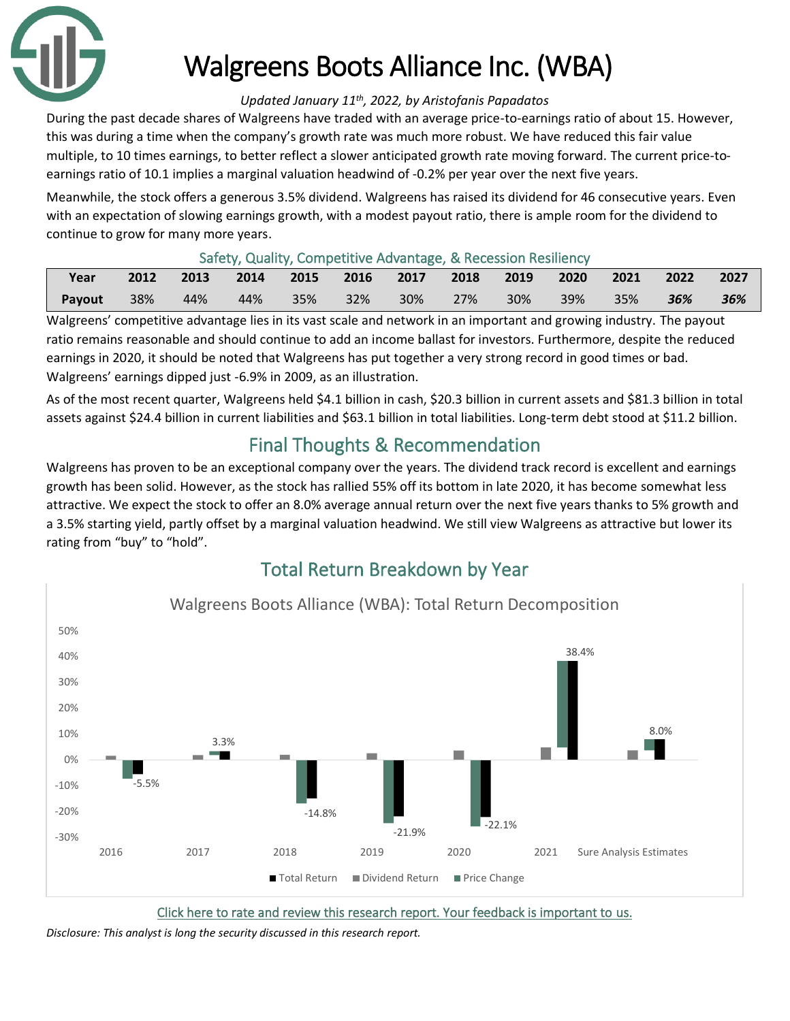

# Walgreens Boots Alliance Inc. (WBA)

#### *Updated January 11th, 2022, by Aristofanis Papadatos*

During the past decade shares of Walgreens have traded with an average price-to-earnings ratio of about 15. However, this was during a time when the company's growth rate was much more robust. We have reduced this fair value multiple, to 10 times earnings, to better reflect a slower anticipated growth rate moving forward. The current price-toearnings ratio of 10.1 implies a marginal valuation headwind of -0.2% per year over the next five years.

Meanwhile, the stock offers a generous 3.5% dividend. Walgreens has raised its dividend for 46 consecutive years. Even with an expectation of slowing earnings growth, with a modest payout ratio, there is ample room for the dividend to continue to grow for many more years.

#### Safety, Quality, Competitive Advantage, & Recession Resiliency

| Year   | 2012 | 2013 | 2014 2015 2016 2017 2018 2019 |  |     | 2020    |         | $\sqrt{2021}$ 2022 | 2027 |
|--------|------|------|-------------------------------|--|-----|---------|---------|--------------------|------|
| Payout | 38%  | 44%  | 44% 35% 32% 30% 27% l         |  | 30% | $-39\%$ | $-35\%$ | $-36\%$            | 36%  |

Walgreens' competitive advantage lies in its vast scale and network in an important and growing industry. The payout ratio remains reasonable and should continue to add an income ballast for investors. Furthermore, despite the reduced earnings in 2020, it should be noted that Walgreens has put together a very strong record in good times or bad. Walgreens' earnings dipped just -6.9% in 2009, as an illustration.

As of the most recent quarter, Walgreens held \$4.1 billion in cash, \$20.3 billion in current assets and \$81.3 billion in total assets against \$24.4 billion in current liabilities and \$63.1 billion in total liabilities. Long-term debt stood at \$11.2 billion.

## Final Thoughts & Recommendation

Walgreens has proven to be an exceptional company over the years. The dividend track record is excellent and earnings growth has been solid. However, as the stock has rallied 55% off its bottom in late 2020, it has become somewhat less attractive. We expect the stock to offer an 8.0% average annual return over the next five years thanks to 5% growth and a 3.5% starting yield, partly offset by a marginal valuation headwind. We still view Walgreens as attractive but lower its rating from "buy" to "hold".

## Total Return Breakdown by Year



[Click here to rate and review this research report. Your feedback is important to us.](https://suredividend.typeform.com/to/S0SIkB)

*Disclosure: This analyst is long the security discussed in this research report.*